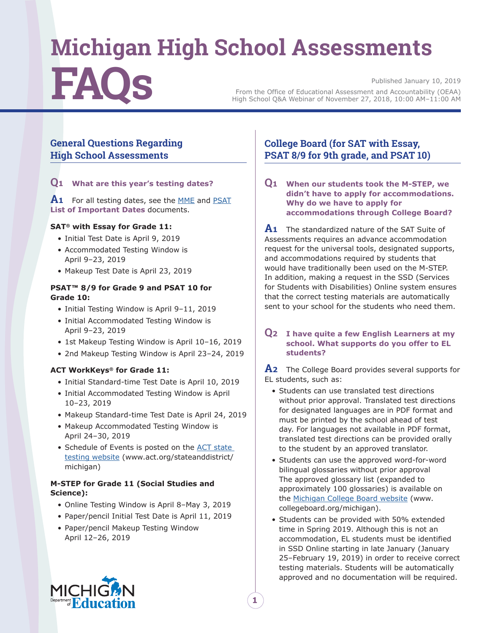# **Michigan High School Assessments** Published January 10, 2019<br>From the Office of Educational Assessment and Accountability (OEAA) From the Office of Educational Assessment and Accountability (OEAA) High School Q&A Webinar of November 27, 2018, 10:00 AM–11:00 AM

## **General Questions Regarding High School Assessments**

## **Q<sup>1</sup> What are this year's testing dates?**

**A<sup>1</sup>** For all testing dates, see the [MME](https://www.michigan.gov/documents/mde/MME_List_of_Important_Dates_634790_7.pdf) and [PSAT](https://www.michigan.gov/documents/mde/PSAT_List_of_Important_Dates_634792_7.pdf) **List of Important Dates** documents.

## **SAT® with Essay for Grade 11:**

- Initial Test Date is April 9, 2019
- Accommodated Testing Window is April 9–23, 2019
- Makeup Test Date is April 23, 2019

## **PSAT™ 8/9 for Grade 9 and PSAT 10 for Grade 10:**

- Initial Testing Window is April 9–11, 2019
- Initial Accommodated Testing Window is April 9–23, 2019
- 1st Makeup Testing Window is April 10–16, 2019
- 2nd Makeup Testing Window is April 23–24, 2019

## **ACT WorkKeys® for Grade 11:**

- Initial Standard-time Test Date is April 10, 2019
- Initial Accommodated Testing Window is April 10–23, 2019
- Makeup Standard-time Test Date is April 24, 2019
- Makeup Accommodated Testing Window is April 24–30, 2019
- Schedule of Events is posted on the ACT state testing website (www.act.org/stateanddistrict/ michigan)

## **M-STEP for Grade 11 (Social Studies and Science):**

- Online Testing Window is April 8–May 3, 2019
- Paper/pencil Initial Test Date is April 11, 2019
- Paper/pencil Makeup Testing Window April 12–26, 2019

# **College Board (for SAT with Essay, PSAT 8/9 for 9th grade, and PSAT 10)**

**Q<sup>1</sup> When our students took the M-STEP, we didn't have to apply for accommodations. Why do we have to apply for accommodations through College Board?**

**A<sup>1</sup>** The standardized nature of the SAT Suite of Assessments requires an advance accommodation request for the universal tools, designated supports, and accommodations required by students that would have traditionally been used on the M-STEP. In addition, making a request in the SSD (Services for Students with Disabilities) Online system ensures that the correct testing materials are automatically sent to your school for the students who need them.

## **Q<sup>2</sup> I have quite a few English Learners at my school. What supports do you offer to EL students?**

**A<sup>2</sup>** The College Board provides several supports for EL students, such as:

- Students can use translated test directions without prior approval. Translated test directions for designated languages are in PDF format and must be printed by the school ahead of test day. For languages not available in PDF format, translated test directions can be provided orally to the student by an approved translator.
- Students can use the approved word-for-word bilingual glossaries without prior approval The approved glossary list (expanded to approximately 100 glossaries) is available on the [Michigan College Board website](http://www.collegeboard.org/michigan) (www. collegeboard.org/michigan).
- Students can be provided with 50% extended time in Spring 2019. Although this is not an accommodation, EL students must be identified in SSD Online starting in late January (January 25–February 19, 2019) in order to receive correct testing materials. Students will be automatically approved and no documentation will be required.

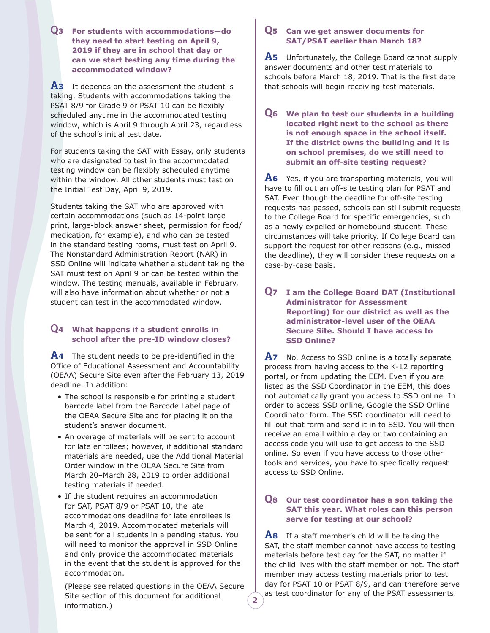**Q<sup>3</sup> For students with accommodations—do they need to start testing on April 9, 2019 if they are in school that day or can we start testing any time during the accommodated window?**

**A<sup>3</sup>** It depends on the assessment the student is taking. Students with accommodations taking the PSAT 8/9 for Grade 9 or PSAT 10 can be flexibly scheduled anytime in the accommodated testing window, which is April 9 through April 23, regardless of the school's initial test date.

For students taking the SAT with Essay, only students who are designated to test in the accommodated testing window can be flexibly scheduled anytime within the window. All other students must test on the Initial Test Day, April 9, 2019.

Students taking the SAT who are approved with certain accommodations (such as 14-point large print, large-block answer sheet, permission for food/ medication, for example), and who can be tested in the standard testing rooms, must test on April 9. The Nonstandard Administration Report (NAR) in SSD Online will indicate whether a student taking the SAT must test on April 9 or can be tested within the window. The testing manuals, available in February, will also have information about whether or not a student can test in the accommodated window.

## **Q<sup>4</sup> What happens if a student enrolls in school after the pre-ID window closes?**

**A<sup>4</sup>** The student needs to be pre-identified in the Office of Educational Assessment and Accountability (OEAA) Secure Site even after the February 13, 2019 deadline. In addition:

- The school is responsible for printing a student barcode label from the Barcode Label page of the OEAA Secure Site and for placing it on the student's answer document.
- An overage of materials will be sent to account for late enrollees; however, if additional standard materials are needed, use the Additional Material Order window in the OEAA Secure Site from March 20–March 28, 2019 to order additional testing materials if needed.
- If the student requires an accommodation for SAT, PSAT 8/9 or PSAT 10, the late accommodations deadline for late enrollees is March 4, 2019. Accommodated materials will be sent for all students in a pending status. You will need to monitor the approval in SSD Online and only provide the accommodated materials in the event that the student is approved for the accommodation.

(Please see related questions in the OEAA Secure Site section of this document for additional information.)

**2**

## **Q<sup>5</sup> Can we get answer documents for SAT/PSAT earlier than March 18?**

**A<sup>5</sup>** Unfortunately, the College Board cannot supply answer documents and other test materials to schools before March 18, 2019. That is the first date that schools will begin receiving test materials.

#### **Q<sup>6</sup> We plan to test our students in a building located right next to the school as there is not enough space in the school itself. If the district owns the building and it is on school premises, do we still need to submit an off-site testing request?**

**A<sup>6</sup>** Yes, if you are transporting materials, you will have to fill out an off-site testing plan for PSAT and SAT. Even though the deadline for off-site testing requests has passed, schools can still submit requests to the College Board for specific emergencies, such as a newly expelled or homebound student. These circumstances will take priority. If College Board can support the request for other reasons (e.g., missed the deadline), they will consider these requests on a case-by-case basis.

## **Q<sup>7</sup> I am the College Board DAT (Institutional Administrator for Assessment Reporting) for our district as well as the administrator-level user of the OEAA Secure Site. Should I have access to SSD Online?**

**A<sup>7</sup>** No. Access to SSD online is a totally separate process from having access to the K-12 reporting portal, or from updating the EEM. Even if you are listed as the SSD Coordinator in the EEM, this does not automatically grant you access to SSD online. In order to access SSD online, Google the SSD Online Coordinator form. The SSD coordinator will need to fill out that form and send it in to SSD. You will then receive an email within a day or two containing an access code you will use to get access to the SSD online. So even if you have access to those other tools and services, you have to specifically request access to SSD Online.

## **Q<sup>8</sup> Our test coordinator has a son taking the SAT this year. What roles can this person serve for testing at our school?**

**A<sup>8</sup>** If a staff member's child will be taking the SAT, the staff member cannot have access to testing materials before test day for the SAT, no matter if the child lives with the staff member or not. The staff member may access testing materials prior to test day for PSAT 10 or PSAT 8/9, and can therefore serve as test coordinator for any of the PSAT assessments.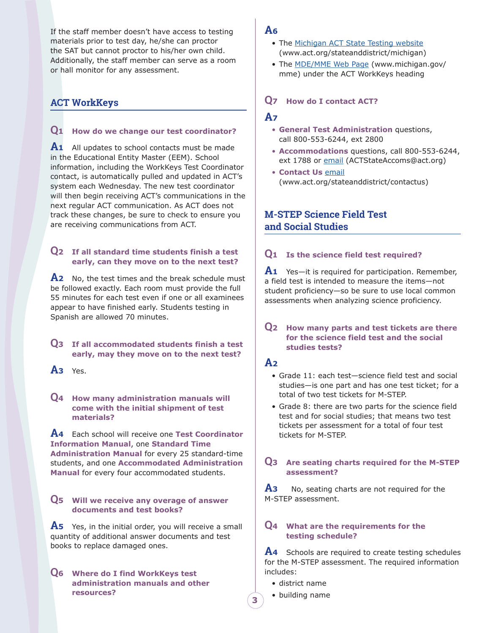If the staff member doesn't have access to testing materials prior to test day, he/she can proctor the SAT but cannot proctor to his/her own child. Additionally, the staff member can serve as a room or hall monitor for any assessment.

# **ACT WorkKeys**

## **Q<sup>1</sup> How do we change our test coordinator?**

**A<sup>1</sup>** All updates to school contacts must be made in the Educational Entity Master (EEM). School information, including the WorkKeys Test Coordinator contact, is automatically pulled and updated in ACT's system each Wednesday. The new test coordinator will then begin receiving ACT's communications in the next regular ACT communication. As ACT does not track these changes, be sure to check to ensure you are receiving communications from ACT.

## **Q<sup>2</sup> If all standard time students finish a test early, can they move on to the next test?**

**A<sup>2</sup>** No, the test times and the break schedule must be followed exactly. Each room must provide the full 55 minutes for each test even if one or all examinees appear to have finished early. Students testing in Spanish are allowed 70 minutes.

## **Q<sup>3</sup> If all accommodated students finish a test early, may they move on to the next test?**

**A<sup>3</sup>** Yes.

## **Q<sup>4</sup> How many administration manuals will come with the initial shipment of test materials?**

**A<sup>4</sup>** Each school will receive one **Test Coordinator Information Manual**, one **Standard Time Administration Manual** for every 25 standard-time students, and one **Accommodated Administration Manual** for every four accommodated students.

## **Q<sup>5</sup> Will we receive any overage of answer documents and test books?**

**A<sup>5</sup>** Yes, in the initial order, you will receive a small quantity of additional answer documents and test books to replace damaged ones.

**Q<sup>6</sup> Where do I find WorkKeys test administration manuals and other resources?**

## **A<sup>6</sup>**

- The [Michigan ACT State Testing website](http://www.act.org/stateanddistrict/michigan) (www.act.org/stateanddistrict/michigan)
- The **MDE/MME** Web Page (www.michigan.gov/ mme) under the ACT WorkKeys heading

## **Q<sup>7</sup> How do I contact ACT?**

## **A<sup>7</sup>**

- **General Test Administration** questions, call 800-553-6244, ext 2800
- **Accommodations** questions, call 800-553-6244, ext 1788 or [email](mailto:ACTStateAccoms%40act.org?subject=) (ACTStateAccoms@act.org)
- **Contact Us** [email](mailto:www.act.org/stateanddistrict/contactus?subject=) (www.act.org/stateanddistrict/contactus)

# **M-STEP Science Field Test and Social Studies**

## **Q<sup>1</sup> Is the science field test required?**

**A<sup>1</sup>** Yes—it is required for participation. Remember, a field test is intended to measure the items—not student proficiency—so be sure to use local common assessments when analyzing science proficiency.

## **Q<sup>2</sup> How many parts and test tickets are there for the science field test and the social studies tests?**

# **A<sup>2</sup>**

- Grade 11: each test—science field test and social studies—is one part and has one test ticket; for a total of two test tickets for M-STEP.
- Grade 8: there are two parts for the science field test and for social studies; that means two test tickets per assessment for a total of four test tickets for M-STEP.

## **Q<sup>3</sup> Are seating charts required for the M-STEP assessment?**

**A<sup>3</sup>** No, seating charts are not required for the M-STEP assessment.

## **Q<sup>4</sup> What are the requirements for the testing schedule?**

**A<sup>4</sup>** Schools are required to create testing schedules for the M-STEP assessment. The required information includes:

- district name
- building name

**3**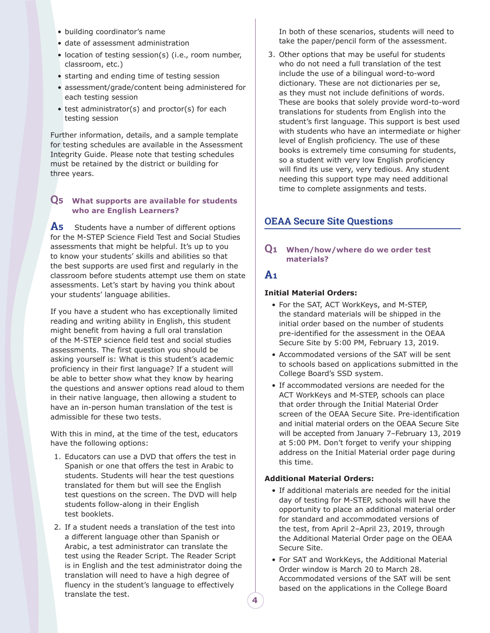- building coordinator's name
- date of assessment administration
- location of testing session(s) (i.e., room number, classroom, etc.)
- starting and ending time of testing session
- assessment/grade/content being administered for each testing session
- test administrator(s) and proctor(s) for each testing session

Further information, details, and a sample template for testing schedules are available in the Assessment Integrity Guide. Please note that testing schedules must be retained by the district or building for three years.

## **Q<sup>5</sup> What supports are available for students who are English Learners?**

**A<sup>5</sup>** Students have a number of different options for the M-STEP Science Field Test and Social Studies assessments that might be helpful. It's up to you to know your students' skills and abilities so that the best supports are used first and regularly in the classroom before students attempt use them on state assessments. Let's start by having you think about your students' language abilities.

If you have a student who has exceptionally limited reading and writing ability in English, this student might benefit from having a full oral translation of the M-STEP science field test and social studies assessments. The first question you should be asking yourself is: What is this student's academic proficiency in their first language? If a student will be able to better show what they know by hearing the questions and answer options read aloud to them in their native language, then allowing a student to have an in-person human translation of the test is admissible for these two tests.

With this in mind, at the time of the test, educators have the following options:

- 1. Educators can use a DVD that offers the test in Spanish or one that offers the test in Arabic to students. Students will hear the test questions translated for them but will see the English test questions on the screen. The DVD will help students follow-along in their English test booklets.
- 2. If a student needs a translation of the test into a different language other than Spanish or Arabic, a test administrator can translate the test using the Reader Script. The Reader Script is in English and the test administrator doing the translation will need to have a high degree of fluency in the student's language to effectively translate the test.

In both of these scenarios, students will need to take the paper/pencil form of the assessment.

3. Other options that may be useful for students who do not need a full translation of the test include the use of a bilingual word-to-word dictionary. These are not dictionaries per se, as they must not include definitions of words. These are books that solely provide word-to-word translations for students from English into the student's first language. This support is best used with students who have an intermediate or higher level of English proficiency. The use of these books is extremely time consuming for students, so a student with very low English proficiency will find its use very, very tedious. Any student needing this support type may need additional time to complete assignments and tests.

# **OEAA Secure Site Questions**

## **Q<sup>1</sup> When/how/where do we order test materials?**

## **A<sup>1</sup>**

## **Initial Material Orders:**

- For the SAT, ACT WorkKeys, and M-STEP, the standard materials will be shipped in the initial order based on the number of students pre-identified for the assessment in the OEAA Secure Site by 5:00 PM, February 13, 2019.
- Accommodated versions of the SAT will be sent to schools based on applications submitted in the College Board's SSD system.
- If accommodated versions are needed for the ACT WorkKeys and M-STEP, schools can place that order through the Initial Material Order screen of the OEAA Secure Site. Pre-identification and initial material orders on the OEAA Secure Site will be accepted from January 7–February 13, 2019 at 5:00 PM. Don't forget to verify your shipping address on the Initial Material order page during this time.

#### **Additional Material Orders:**

- If additional materials are needed for the initial day of testing for M-STEP, schools will have the opportunity to place an additional material order for standard and accommodated versions of the test, from April 2–April 23, 2019, through the Additional Material Order page on the OEAA Secure Site.
- For SAT and WorkKeys, the Additional Material Order window is March 20 to March 28. Accommodated versions of the SAT will be sent based on the applications in the College Board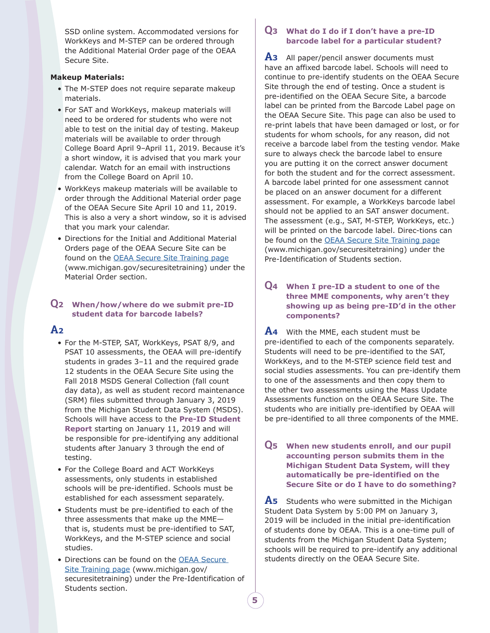SSD online system. Accommodated versions for WorkKeys and M-STEP can be ordered through the Additional Material Order page of the OEAA Secure Site.

## **Makeup Materials:**

- The M-STEP does not require separate makeup materials.
- For SAT and WorkKeys, makeup materials will need to be ordered for students who were not able to test on the initial day of testing. Makeup materials will be available to order through College Board April 9–April 11, 2019. Because it's a short window, it is advised that you mark your calendar. Watch for an email with instructions from the College Board on April 10.
- WorkKeys makeup materials will be available to order through the Additional Material order page of the OEAA Secure Site April 10 and 11, 2019. This is also a very a short window, so it is advised that you mark your calendar.
- Directions for the Initial and Additional Material Orders page of the OEAA Secure Site can be found on the [OEAA Secure Site Training page](mailto:www.michigan.gov/securesitetraining?subject=) (www.michigan.gov/securesitetraining) under the Material Order section.

## **Q<sup>2</sup> When/how/where do we submit pre-ID student data for barcode labels?**

# **A<sup>2</sup>**

- For the M-STEP, SAT, WorkKeys, PSAT 8/9, and PSAT 10 assessments, the OEAA will pre-identify students in grades 3-11 and the required grade 12 students in the OEAA Secure Site using the Fall 2018 MSDS General Collection (fall count day data), as well as student record maintenance (SRM) files submitted through January 3, 2019 from the Michigan Student Data System (MSDS). Schools will have access to the **Pre-ID Student Report** starting on January 11, 2019 and will be responsible for pre-identifying any additional students after January 3 through the end of testing.
- For the College Board and ACT WorkKeys assessments, only students in established schools will be pre-identified. Schools must be established for each assessment separately.
- Students must be pre-identified to each of the three assessments that make up the MME that is, students must be pre-identified to SAT, WorkKeys, and the M-STEP science and social studies.
- Directions can be found on the [OEAA Secure](mailto:www.michigan.gov/securesitetraining?subject=)  [Site Training page](mailto:www.michigan.gov/securesitetraining?subject=) (www.michigan.gov/ securesitetraining) under the Pre-Identification of Students section.

## **Q<sup>3</sup> What do I do if I don't have a pre-ID barcode label for a particular student?**

**A<sup>3</sup>** All paper/pencil answer documents must have an affixed barcode label. Schools will need to continue to pre-identify students on the OEAA Secure Site through the end of testing. Once a student is pre-identified on the OEAA Secure Site, a barcode label can be printed from the Barcode Label page on the OEAA Secure Site. This page can also be used to re-print labels that have been damaged or lost, or for students for whom schools, for any reason, did not receive a barcode label from the testing vendor. Make sure to always check the barcode label to ensure you are putting it on the correct answer document for both the student and for the correct assessment. A barcode label printed for one assessment cannot be placed on an answer document for a different assessment. For example, a WorkKeys barcode label should not be applied to an SAT answer document. The assessment (e.g., SAT, M-STEP, WorkKeys, etc.) will be printed on the barcode label. Direc-tions can be found on the [OEAA Secure Site Training page](mailto:www.michigan.gov/securesitetraining?subject=) (www.michigan.gov/securesitetraining) under the Pre-Identification of Students section.

## **Q<sup>4</sup> When I pre-ID a student to one of the three MME components, why aren't they showing up as being pre-ID'd in the other components?**

**A<sup>4</sup>** With the MME, each student must be pre-identified to each of the components separately. Students will need to be pre-identified to the SAT, WorkKeys, and to the M-STEP science field test and social studies assessments. You can pre-identify them to one of the assessments and then copy them to the other two assessments using the Mass Update Assessments function on the OEAA Secure Site. The students who are initially pre-identified by OEAA will be pre-identified to all three components of the MME.

## **Q<sup>5</sup> When new students enroll, and our pupil accounting person submits them in the Michigan Student Data System, will they automatically be pre-identified on the Secure Site or do I have to do something?**

A<sub>5</sub> Students who were submitted in the Michigan Student Data System by 5:00 PM on January 3, 2019 will be included in the initial pre-identification of students done by OEAA. This is a one-time pull of students from the Michigan Student Data System; schools will be required to pre-identify any additional students directly on the OEAA Secure Site.